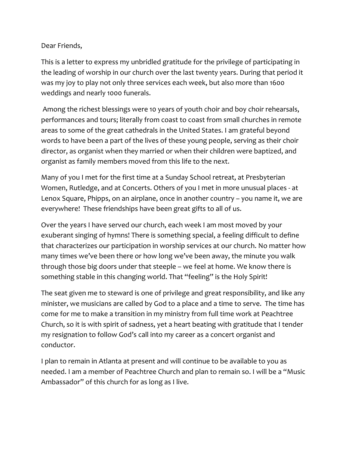## Dear Friends,

This is a letter to express my unbridled gratitude for the privilege of participating in the leading of worship in our church over the last twenty years. During that period it was my joy to play not only three services each week, but also more than 1600 weddings and nearly 1000 funerals.

Among the richest blessings were 10 years of youth choir and boy choir rehearsals, performances and tours; literally from coast to coast from small churches in remote areas to some of the great cathedrals in the United States. I am grateful beyond words to have been a part of the lives of these young people, serving as their choir director, as organist when they married or when their children were baptized, and organist as family members moved from this life to the next.

Many of you I met for the first time at a Sunday School retreat, at Presbyterian Women, Rutledge, and at Concerts. Others of you I met in more unusual places - at Lenox Square, Phipps, on an airplane, once in another country - you name it, we are everywhere! These friendships have been great gifts to all of us.

Over the years I have served our church, each week I am most moved by your exuberant singing of hymns! There is something special, a feeling difficult to define that characterizes our participation in worship services at our church. No matter how many times we've been there or how long we've been away, the minute you walk through those big doors under that steeple – we feel at home. We know there is something stable in this changing world. That "feeling" is the Holy Spirit!

The seat given me to steward is one of privilege and great responsibility, and like any minister, we musicians are called by God to a place and a time to serve. The time has come for me to make a transition in my ministry from full time work at Peachtree Church, so it is with spirit of sadness, yet a heart beating with gratitude that I tender my resignation to follow God's call into my career as a concert organist and conductor. 

I plan to remain in Atlanta at present and will continue to be available to you as needed. I am a member of Peachtree Church and plan to remain so. I will be a "Music Ambassador" of this church for as long as I live.